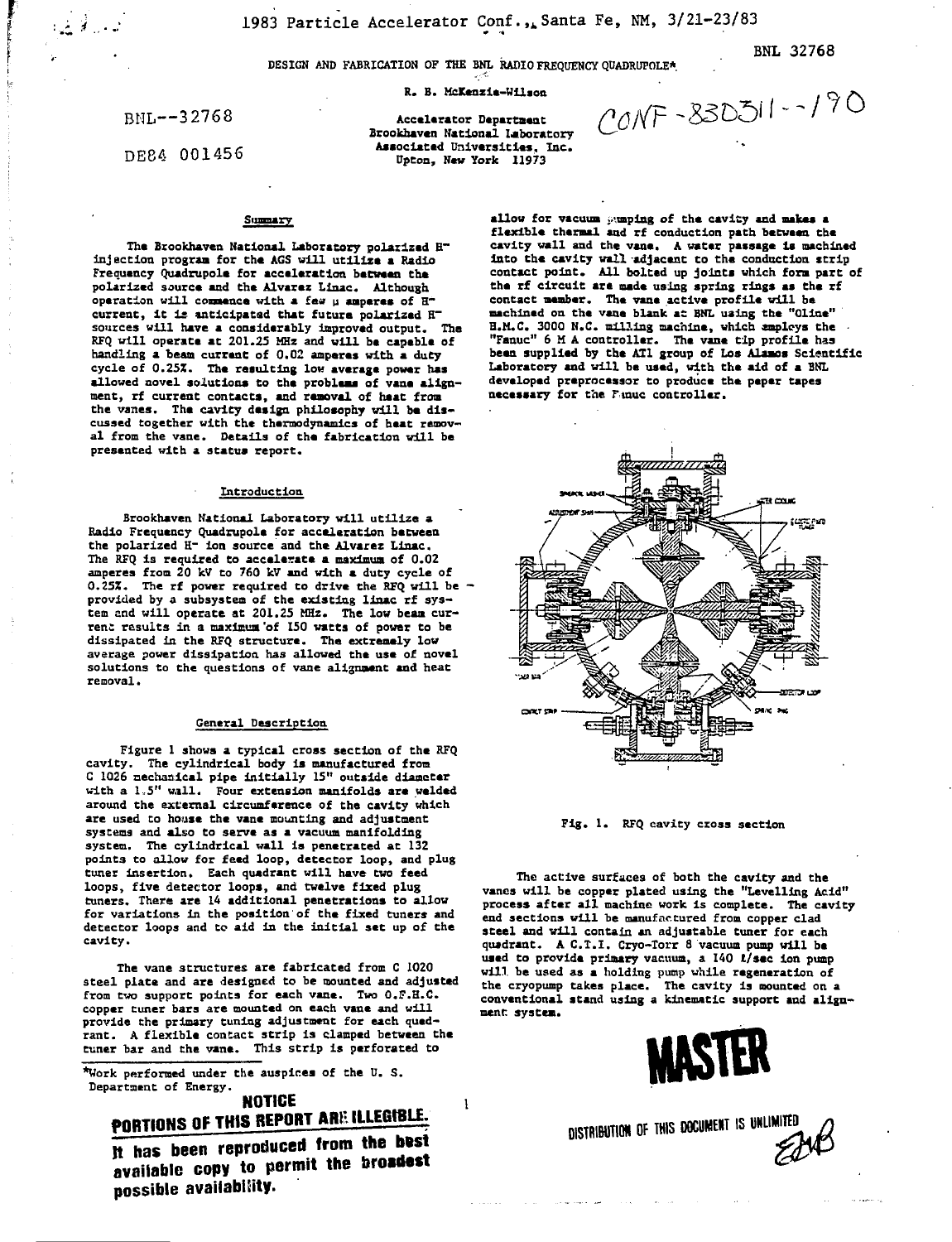**DESIGN AND FABRICATION OF THE BNL RADIO FREQUENCY QDADRUPOLE\***

**R. B. McKenzie-Wilion**

BNL—32768

 $-$ 

 $\mathcal{L}$  ,  $\mathcal{L}$ 

DE84 001456

**Accelerator Department Brookhaven National Laboratory Associated Universities. Inc. Upton, New York 11973**

 $CONF - 830511 - 190$ 

BNL 32768

#### Summary

**The Brookhaven National Laboratory polarized E~ injection program for the AGS will utilize a Radio Frequency Quadrupole for acceleration between the polarized source and the Alvarez Linac. Although operation will conaence with a feu u amperes of H~ current, It is anticipated that future polarized H~ sources will have a considerably improved output. The RFQ will operate at 201.25 MHz and will be capable of handling a beam current of 0.02 amperes with a duty cycle of 0.25Z. The resulting low average power has allowed novel solutions to the problems of vane alignment, rf current contacts, and removal of heat from the vanes. The cavity design philosophy will be discussed together with the thermodynamics of heat removal from the vane. Details of the fabrication will be presented with a status report.**

### **Introduction**

Brookhaven National Laboratory will utilize a **Radio Frequency Quadrupole for acceleration between the polarized H~ ion source and the Alvarez Linac. The RFQ is required to accelerate a maximum of 0.02 amperes from 20 kV to 760 kV and with a duty cycle of Q.25Z. The rf power required to drive the RFQ will be provided by a subsystem of the existing linac rf system and will operate at 201.25 MHz. The low beam current results in a maximum 'of 150 watts of power to be dissipated in the RFQ structure. The extremely low average power dissipation has allowed the use of novel solutions to the questions of vane alignment and heat removal.**

### **General Description**

**Figure 1 shows a typical cross section of the RFQ cavity. The cylindrical body is manufactured from C 1026 nechaaical pipe Initially 15" outside diameter with a 1,5" wall. Four extension manifolds are welded around the external circumference of the cavity which are used to house the vane mounting and adjustment systems and also to serve as a vacuum manifolding system. The cylindrical wall is penetrated at 132 point3 to allow for feed loop, detector loop, and plug tuner insertion. Each quadrant will have two feed loops, five detector loops, and twelve fixed plug tuners. There are 14 additional penetrations to allow for variations in the position of the fixed tuners and detector loops and to aid in the initial set up of the cavity.**

**The vane structures are fabricated from C 1020 steel plate and are designed to be mounted and adjusted from two support points for each vane. Two O.F.H.C. copper tuner bars are mounted on each vane and will provide the primary tuning adjustment for each quadrant. A flexible contact strip is clamped between the tuner bar and the vane. This strip is perforated to**

**\*Work performed under the auspices of the U. S. Department of Energy.**

# **NOTICE PORTIONS OF THIS REPORT ARE ILLEGIBLE.**

 $\mathbf{1}$ 

**It has been reproduced from the b»st It has been rep z** the broadest and the broadest **ilbilit possible availability.**

**allow for vacuum jumping of the cavity and makes a flexible thermal and rf conduction path between the cavity wall and the vane. A water passage is machined into the cavity wall adjacent to the conduction strip contact point. All bolted up joints which form part of** the rf circuit are made using spring rings as the rf **contact member. The vane active profile will be machined on the vane blank at BNL using the "Oline"** H.M.C. 3000 N.C. milling machine, which employs the **"Fanuc" 6 M A controller. The vane tip profile has been supplied by the ATI group of Los Alamos Scientific Laboratory and will be used, with the aid of a BNL developed preprocessor to produce the paper tapes necessary for the Ftnuc controller.**



**Fig. 1. RFQ cavity cross section**

**The active surfaces of both the cavity and the vanes will be copper plated using the "Levelling Acid" process after all machine uork is complete. The cavity end sections will be manufactured from copper clad steel and will contain an adjustable tuner for each quadrant. A C.T.I. Cryo-Torr S vacuum pump will be used to provide primary vacuum, a 140 t/sec ion pump will, be used as a holding pump while regeneration of the cryopump takes place. The cavity is mounted on a conventional stand using a kinematic support and alignment system.**



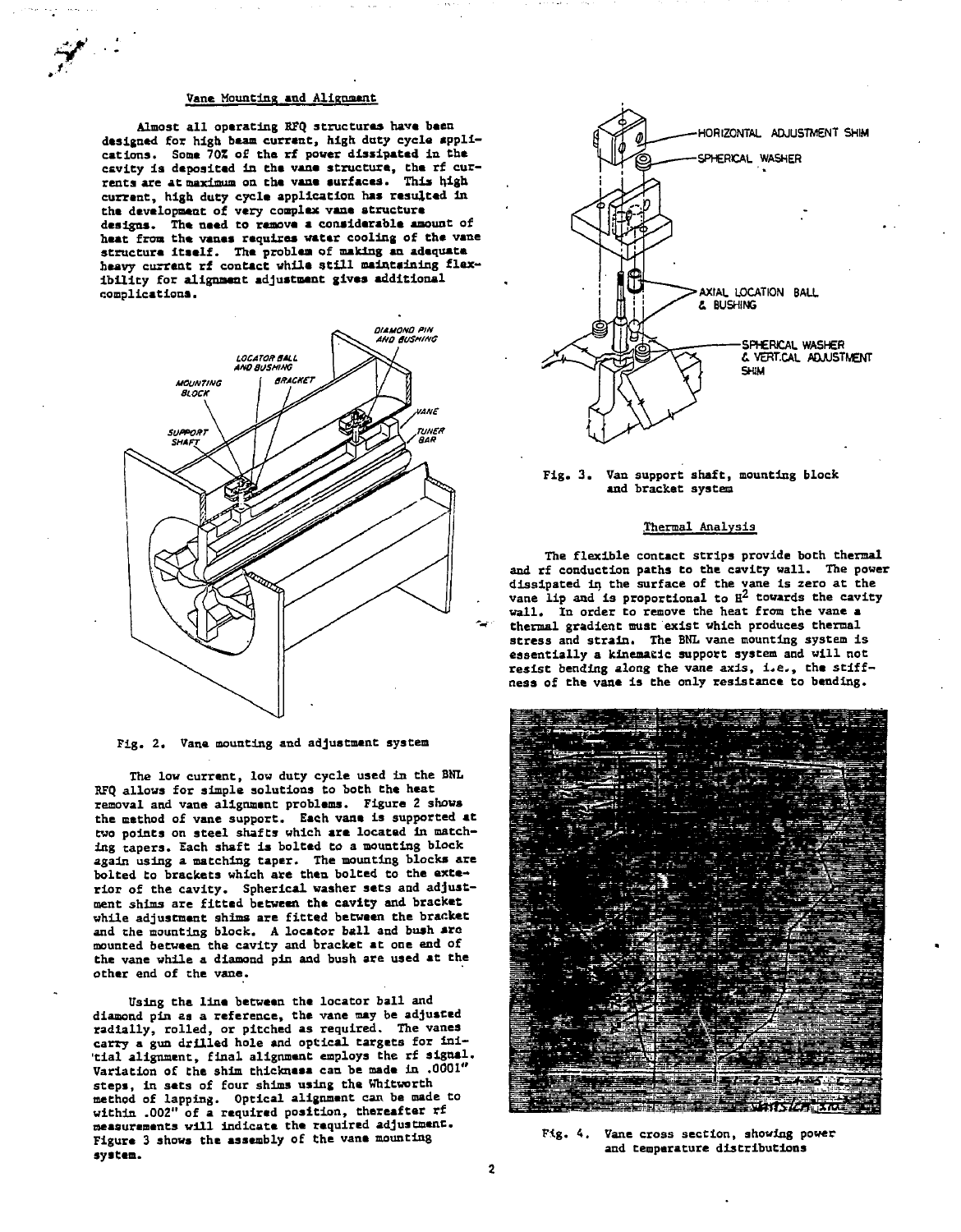### **Vane Mounting and Alignment**

**If'**

**Almost all operating KFQ structures have been designed for high bean current, high duty cycle applications. Some 70S of the rf power dissipated in the** csvity is deposited in the vane structure, the rf cur-<br>rents are at maximum on the vane surfaces. This high **current, high duty cycle application has resulted In the development of very complex vane structure designs. The need to remove a considerable amount of heat from the vanes requires water cooling of the vane structure itself. The problem of making an adequate heavy current rf contact while still maintaining flexibility for alignment adjustment gives additional complications.**



**Fig. 2. Vane mounting and adjustment system**

**The low current, low duty cycle used in the BNL RFQ allows for simple solutions to both the heat removal and vane alignment problems. Figure 2 shows the method of vane support. Each vane is supported at two points on steel shafts which are located in matching tapers. Each shaft is bolted to a mounting block again using a matching taper. The mounting blocks are bolted to brackets which are then bolted to the exterior of the cavity. Spherical washer seta and adjustment shims are fitted between the cavity and bracket while adjustment shims are fitted between the bracket and che mounting block. A locator ball and bush arc mounted between the cavity and bracket at one end of the vane while a diamond pin and bush are used at the other end of the vane.**

**Using the line between the locator ball and diamond pin as a reference, the vane may be adjusted radially, rolled, or pitched as required. The vanes carry a gun drilled hole and optical targets for ini- 'tial alignment, final alignment employs the rf signal. Variation of the shim thickness can be made in .0001" steps, in sets of four shims using the Whitworth method of lapping. Optical alignment can be made to within .002" of a required position, thereafter rf measurements will indicate the required adjustment. Figure 3 shows the assembly of the vane mounting system.**





#### **Thermal Analysis**

**The flexible contact strips provide both thermal and rf conduction paths to the cavity wall. The power dissipated in the surface of the vane is zero at the vane lip and is proportional to H^ towards the cavity wall\* In order to remove the heat from the vane a thermal gradient must exist which produces thermal stress and strain. The BNL vane mounting system is essentially a kinematic support system and will not resist bending along the vane axis, i.e., the stiffness of the vane is the only resistance to bending.**



**Fig. 4. Vane cross section, showing power and temperature distributions**